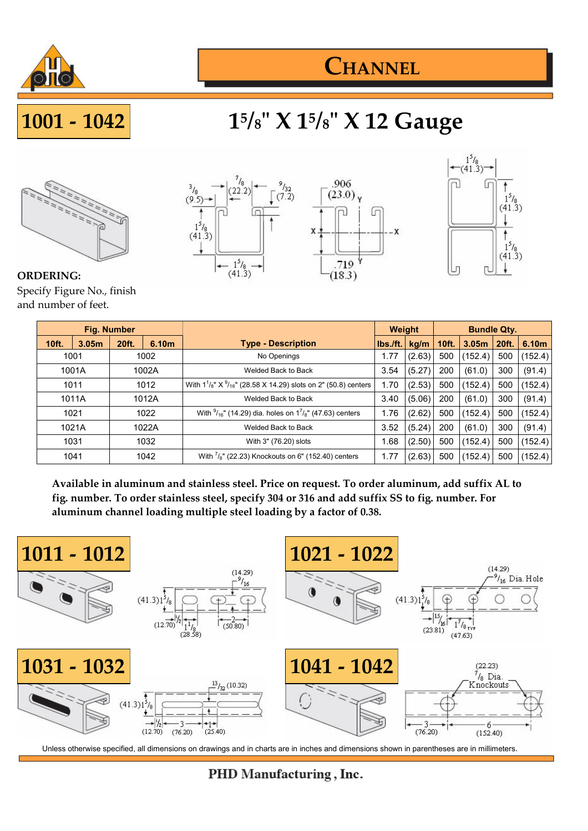

## **CHANNEL**

# **5 /8" X 1<sup>5</sup> /8" X 12 Gauge**



**ORDERING:** Specify Figure No., finish and number of feet.





| <b>Fig. Number</b> |                   |       |                       |                                                                                 | <b>Weight</b> |        | <b>Bundle Qty.</b> |                   |         |         |
|--------------------|-------------------|-------|-----------------------|---------------------------------------------------------------------------------|---------------|--------|--------------------|-------------------|---------|---------|
| <b>10ft.</b>       | 3.05 <sub>m</sub> | 20ft. | 6.10 <sub>m</sub>     | <b>Type - Description</b>                                                       | lbs./ft.      | kg/m   | 10ft.              | 3.05 <sub>m</sub> | 20ft.   | 6.10m   |
| 1001               |                   | 1002  |                       | No Openings                                                                     | 1.77          | (2.63) | 500                | (152.4)           | 500     | (152.4) |
| 1001A              |                   | 1002A |                       | Welded Back to Back                                                             | 3.54          | (5.27) | 200                | (61.0)            | 300     | (91.4)  |
| 1011               |                   | 1012  |                       | With $1^{1}/_{8}$ " X $^{9}/_{16}$ " (28.58 X 14.29) slots on 2" (50.8) centers |               | (2.53) | 500                | (152.4)           | 500     | (152.4) |
| 1011A              |                   | 1012A |                       | Welded Back to Back                                                             |               | (5.06) | 200                | (61.0)            | 300     | (91.4)  |
| 1021               |                   | 1022  |                       | With $\frac{9}{16}$ " (14.29) dia. holes on $1^{7}/8$ " (47.63) centers         |               | (2.62) | 500                | (152.4)           | 500     | (152.4) |
| 1021A              |                   | 1022A |                       | Welded Back to Back                                                             |               | (5.24) | 200                | (61.0)            | 300     | (91.4)  |
| 1031<br>1032       |                   |       | With 3" (76.20) slots |                                                                                 | (2.50)        | 500    | (152.4)            | 500               | (152.4) |         |
| 1041               |                   | 1042  |                       | With $\frac{7}{8}$ " (22.23) Knockouts on 6" (152.40) centers                   | 1.77          | (2.63) | 500                | (152.4)           | 500     | (152.4) |

**Available in aluminum and stainless steel. Price on request. To order aluminum, add suffix AL to fig. number. To order stainless steel, specify 304 or 316 and add suffix SS to fig. number. For aluminum channel loading multiple steel loading by a factor of 0.38.**



Unless otherwise specified, all dimensions on drawings and in charts are in inches and dimensions shown in parentheses are in millimeters.

#### PHD Manufacturing, Inc.